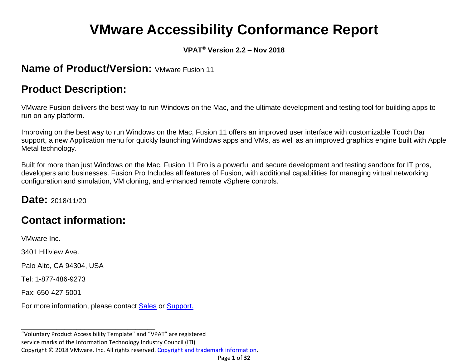# **VMware Accessibility Conformance Report**

#### **VPAT**® **Version 2.2 – Nov 2018**

#### **Name of Product/Version: VMware Fusion 11**

### **Product Description:**

VMware Fusion delivers the best way to run Windows on the Mac, and the ultimate development and testing tool for building apps to run on any platform.

Improving on the best way to run Windows on the Mac, Fusion 11 offers an improved user interface with customizable Touch Bar support, a new Application menu for quickly launching Windows apps and VMs, as well as an improved graphics engine built with Apple Metal technology.

Built for more than just Windows on the Mac, Fusion 11 Pro is a powerful and secure development and testing sandbox for IT pros, developers and businesses. Fusion Pro Includes all features of Fusion, with additional capabilities for managing virtual networking configuration and simulation, VM cloning, and enhanced remote vSphere controls.

**Date:** 2018/11/20

### **Contact information:**

VMware Inc.

3401 Hillview Ave.

Palo Alto, CA 94304, USA

Tel: 1-877-486-9273

Fax: 650-427-5001

For more information, please contact [Sales](https://www.vmware.com/company/contact_sales.html) or [Support.](https://www.vmware.com/support/contacts.html)

**\_\_\_\_\_\_\_\_\_\_\_\_\_\_\_\_\_\_\_\_\_\_\_\_\_\_\_\_\_\_\_\_\_\_**

"Voluntary Product Accessibility Template" and "VPAT" are registered service marks of the Information Technology Industry Council (ITI) Copyright © 2018 VMware, Inc. All rights reserved. [Copyright and trademark information.](http://pubs.vmware.com/copyright-trademark.html)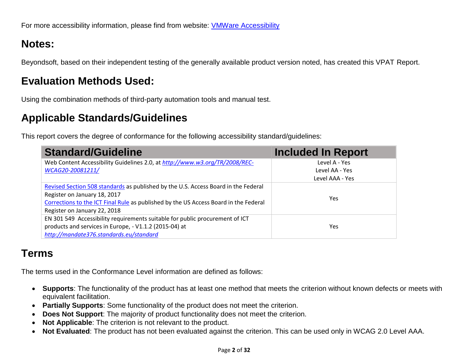### **Notes:**

Beyondsoft, based on their independent testing of the generally available product version noted, has created this VPAT Report.

### **Evaluation Methods Used:**

Using the combination methods of third-party automation tools and manual test.

### **Applicable Standards/Guidelines**

This report covers the degree of conformance for the following accessibility standard/guidelines:

| <b>Standard/Guideline</b>                                                            | <b>Included In Report</b> |
|--------------------------------------------------------------------------------------|---------------------------|
| Web Content Accessibility Guidelines 2.0, at http://www.w3.org/TR/2008/REC-          | Level A - Yes             |
| WCAG20-20081211/                                                                     | Level AA - Yes            |
|                                                                                      | Level AAA - Yes           |
| Revised Section 508 standards as published by the U.S. Access Board in the Federal   |                           |
| Register on January 18, 2017                                                         | Yes                       |
| Corrections to the ICT Final Rule as published by the US Access Board in the Federal |                           |
| Register on January 22, 2018                                                         |                           |
| EN 301 549 Accessibility requirements suitable for public procurement of ICT         |                           |
| products and services in Europe, - V1.1.2 (2015-04) at                               | Yes                       |
| http://mandate376.standards.eu/standard                                              |                           |

### **Terms**

The terms used in the Conformance Level information are defined as follows:

- **Supports**: The functionality of the product has at least one method that meets the criterion without known defects or meets with equivalent facilitation.
- **Partially Supports**: Some functionality of the product does not meet the criterion.
- **Does Not Support**: The majority of product functionality does not meet the criterion.
- **Not Applicable**: The criterion is not relevant to the product.
- **Not Evaluated**: The product has not been evaluated against the criterion. This can be used only in WCAG 2.0 Level AAA.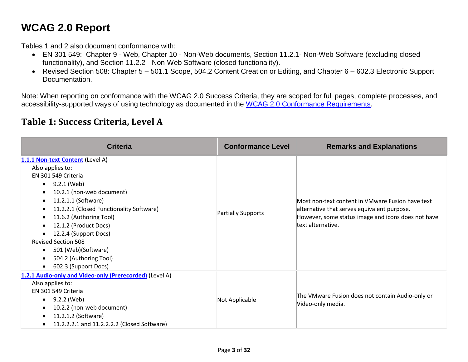### **WCAG 2.0 Report**

Tables 1 and 2 also document conformance with:

- EN 301 549: Chapter 9 Web, Chapter 10 Non-Web documents, Section 11.2.1- Non-Web Software (excluding closed functionality), and Section 11.2.2 - Non-Web Software (closed functionality).
- Revised Section 508: Chapter 5 501.1 Scope, 504.2 Content Creation or Editing, and Chapter 6 602.3 Electronic Support Documentation.

Note: When reporting on conformance with the WCAG 2.0 Success Criteria, they are scoped for full pages, complete processes, and accessibility-supported ways of using technology as documented in the [WCAG 2.0 Conformance Requirements.](https://www.w3.org/TR/WCAG20/#conformance-reqs)

#### **Table 1: Success Criteria, Level A**

| <b>Criteria</b>                                                                                                                                                                                                                                                                                                                                                                             | <b>Conformance Level</b>  | <b>Remarks and Explanations</b>                                                                                                                                            |
|---------------------------------------------------------------------------------------------------------------------------------------------------------------------------------------------------------------------------------------------------------------------------------------------------------------------------------------------------------------------------------------------|---------------------------|----------------------------------------------------------------------------------------------------------------------------------------------------------------------------|
| 1.1.1 Non-text Content (Level A)<br>Also applies to:<br>EN 301 549 Criteria<br>9.2.1 (Web)<br>$\bullet$<br>10.2.1 (non-web document)<br>11.2.1.1 (Software)<br>11.2.2.1 (Closed Functionality Software)<br>11.6.2 (Authoring Tool)<br>12.1.2 (Product Docs)<br>12.2.4 (Support Docs)<br><b>Revised Section 508</b><br>501 (Web)(Software)<br>504.2 (Authoring Tool)<br>602.3 (Support Docs) | <b>Partially Supports</b> | Most non-text content in VMware Fusion have text<br>alternative that serves equivalent purpose.<br>However, some status image and icons does not have<br>text alternative. |
| 1.2.1 Audio-only and Video-only (Prerecorded) (Level A)<br>Also applies to:<br>EN 301 549 Criteria<br>9.2.2 (Web)<br>$\bullet$<br>10.2.2 (non-web document)<br>11.2.1.2 (Software)<br>11.2.2.2.1 and 11.2.2.2.2 (Closed Software)                                                                                                                                                           | Not Applicable            | The VMware Fusion does not contain Audio-only or<br>Video-only media.                                                                                                      |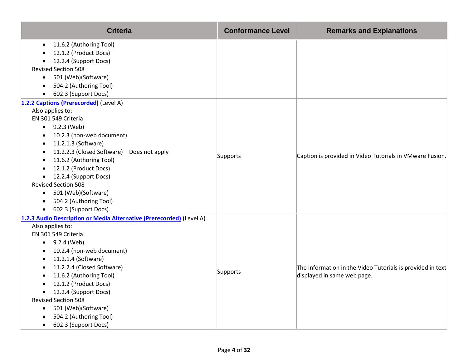| <b>Criteria</b>                                                                                                                                                                                                                                                                                                                                                                                                                                                                                                        | <b>Conformance Level</b> | <b>Remarks and Explanations</b>                                                           |
|------------------------------------------------------------------------------------------------------------------------------------------------------------------------------------------------------------------------------------------------------------------------------------------------------------------------------------------------------------------------------------------------------------------------------------------------------------------------------------------------------------------------|--------------------------|-------------------------------------------------------------------------------------------|
| 11.6.2 (Authoring Tool)<br>12.1.2 (Product Docs)<br>12.2.4 (Support Docs)<br><b>Revised Section 508</b><br>501 (Web)(Software)<br>$\bullet$<br>504.2 (Authoring Tool)<br>602.3 (Support Docs)<br>$\bullet$                                                                                                                                                                                                                                                                                                             |                          |                                                                                           |
| 1.2.2 Captions (Prerecorded) (Level A)<br>Also applies to:<br>EN 301 549 Criteria<br>$\bullet$ 9.2.3 (Web)<br>10.2.3 (non-web document)<br>$\bullet$<br>11.2.1.3 (Software)<br>$\bullet$<br>11.2.2.3 (Closed Software) - Does not apply<br>$\bullet$<br>11.6.2 (Authoring Tool)<br>$\bullet$<br>12.1.2 (Product Docs)<br>$\bullet$<br>12.2.4 (Support Docs)<br>$\bullet$<br><b>Revised Section 508</b><br>501 (Web)(Software)<br>$\bullet$<br>504.2 (Authoring Tool)<br>$\bullet$<br>602.3 (Support Docs)<br>$\bullet$ | Supports                 | Caption is provided in Video Tutorials in VMware Fusion.                                  |
| 1.2.3 Audio Description or Media Alternative (Prerecorded) (Level A)<br>Also applies to:<br>EN 301 549 Criteria<br>$\bullet$ 9.2.4 (Web)<br>10.2.4 (non-web document)<br>$\bullet$<br>11.2.1.4 (Software)<br>$\bullet$<br>11.2.2.4 (Closed Software)<br>11.6.2 (Authoring Tool)<br>12.1.2 (Product Docs)<br>12.2.4 (Support Docs)<br>$\bullet$<br><b>Revised Section 508</b><br>501 (Web)(Software)<br>$\bullet$<br>504.2 (Authoring Tool)<br>602.3 (Support Docs)<br>$\bullet$                                        | Supports                 | The information in the Video Tutorials is provided in text<br>displayed in same web page. |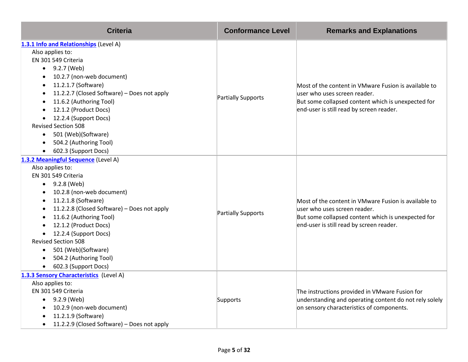| <b>Criteria</b>                                                                                                                                                                                                                                                                                                                                                                                                                                                                 | <b>Conformance Level</b>  | <b>Remarks and Explanations</b>                                                                                                                                                        |
|---------------------------------------------------------------------------------------------------------------------------------------------------------------------------------------------------------------------------------------------------------------------------------------------------------------------------------------------------------------------------------------------------------------------------------------------------------------------------------|---------------------------|----------------------------------------------------------------------------------------------------------------------------------------------------------------------------------------|
| 1.3.1 Info and Relationships (Level A)<br>Also applies to:<br>EN 301 549 Criteria<br>9.2.7 (Web)<br>$\bullet$<br>10.2.7 (non-web document)<br>$\bullet$<br>11.2.1.7 (Software)<br>$\bullet$<br>11.2.2.7 (Closed Software) - Does not apply<br>$\bullet$<br>11.6.2 (Authoring Tool)<br>12.1.2 (Product Docs)<br>12.2.4 (Support Docs)<br><b>Revised Section 508</b><br>501 (Web)(Software)<br>$\bullet$<br>504.2 (Authoring Tool)<br>602.3 (Support Docs)<br>$\bullet$           | <b>Partially Supports</b> | Most of the content in VMware Fusion is available to<br>user who uses screen reader.<br>But some collapsed content which is unexpected for<br>end-user is still read by screen reader. |
| 1.3.2 Meaningful Sequence (Level A)<br>Also applies to:<br>EN 301 549 Criteria<br>9.2.8 (Web)<br>$\bullet$<br>10.2.8 (non-web document)<br>$\bullet$<br>11.2.1.8 (Software)<br>$\bullet$<br>11.2.2.8 (Closed Software) - Does not apply<br>$\bullet$<br>11.6.2 (Authoring Tool)<br>12.1.2 (Product Docs)<br>12.2.4 (Support Docs)<br><b>Revised Section 508</b><br>501 (Web)(Software)<br>$\bullet$<br>504.2 (Authoring Tool)<br>$\bullet$<br>602.3 (Support Docs)<br>$\bullet$ | <b>Partially Supports</b> | Most of the content in VMware Fusion is available to<br>user who uses screen reader.<br>But some collapsed content which is unexpected for<br>end-user is still read by screen reader. |
| 1.3.3 Sensory Characteristics (Level A)<br>Also applies to:<br>EN 301 549 Criteria<br>9.2.9 (Web)<br>$\bullet$<br>10.2.9 (non-web document)<br>11.2.1.9 (Software)<br>11.2.2.9 (Closed Software) - Does not apply                                                                                                                                                                                                                                                               | Supports                  | The instructions provided in VMware Fusion for<br>understanding and operating content do not rely solely<br>on sensory characteristics of components.                                  |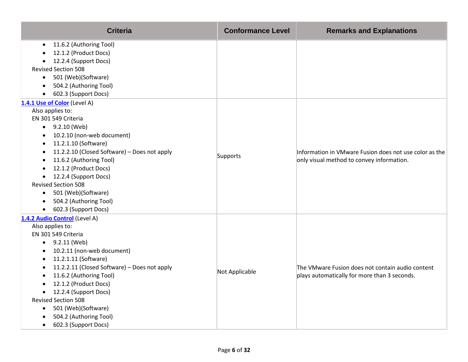| <b>Criteria</b>                              | <b>Conformance Level</b> | <b>Remarks and Explanations</b>                                                                     |
|----------------------------------------------|--------------------------|-----------------------------------------------------------------------------------------------------|
| 11.6.2 (Authoring Tool)                      |                          |                                                                                                     |
| 12.1.2 (Product Docs)                        |                          |                                                                                                     |
| 12.2.4 (Support Docs)<br>$\bullet$           |                          |                                                                                                     |
| <b>Revised Section 508</b>                   |                          |                                                                                                     |
| 501 (Web)(Software)<br>$\bullet$             |                          |                                                                                                     |
| 504.2 (Authoring Tool)                       |                          |                                                                                                     |
| 602.3 (Support Docs)<br>$\bullet$            |                          |                                                                                                     |
| 1.4.1 Use of Color (Level A)                 |                          |                                                                                                     |
| Also applies to:                             |                          |                                                                                                     |
| EN 301 549 Criteria                          |                          |                                                                                                     |
| $-9.2.10$ (Web)                              |                          |                                                                                                     |
| 10.2.10 (non-web document)<br>$\bullet$      |                          | Information in VMware Fusion does not use color as the<br>only visual method to convey information. |
| 11.2.1.10 (Software)<br>$\bullet$            |                          |                                                                                                     |
| 11.2.2.10 (Closed Software) - Does not apply | Supports                 |                                                                                                     |
| 11.6.2 (Authoring Tool)                      |                          |                                                                                                     |
| 12.1.2 (Product Docs)                        |                          |                                                                                                     |
| 12.2.4 (Support Docs)<br>$\bullet$           |                          |                                                                                                     |
| <b>Revised Section 508</b>                   |                          |                                                                                                     |
| • 501 (Web)(Software)                        |                          |                                                                                                     |
| 504.2 (Authoring Tool)                       |                          |                                                                                                     |
| 602.3 (Support Docs)                         |                          |                                                                                                     |
| 1.4.2 Audio Control (Level A)                |                          |                                                                                                     |
| Also applies to:                             |                          |                                                                                                     |
| EN 301 549 Criteria                          |                          |                                                                                                     |
| $-9.2.11$ (Web)                              |                          |                                                                                                     |
| 10.2.11 (non-web document)<br>$\bullet$      |                          |                                                                                                     |
| 11.2.1.11 (Software)<br>$\bullet$            |                          |                                                                                                     |
| 11.2.2.11 (Closed Software) - Does not apply | Not Applicable           | The VMware Fusion does not contain audio content                                                    |
| 11.6.2 (Authoring Tool)                      |                          | plays automatically for more than 3 seconds.                                                        |
| 12.1.2 (Product Docs)                        |                          |                                                                                                     |
| 12.2.4 (Support Docs)<br>$\bullet$           |                          |                                                                                                     |
| <b>Revised Section 508</b>                   |                          |                                                                                                     |
| 501 (Web)(Software)<br>$\bullet$             |                          |                                                                                                     |
| 504.2 (Authoring Tool)                       |                          |                                                                                                     |
| 602.3 (Support Docs)<br>$\bullet$            |                          |                                                                                                     |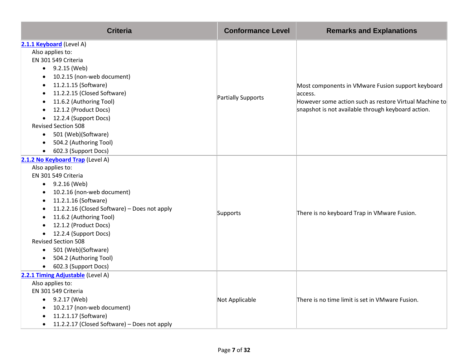| <b>Criteria</b>                                           | <b>Conformance Level</b> | <b>Remarks and Explanations</b>                              |
|-----------------------------------------------------------|--------------------------|--------------------------------------------------------------|
| 2.1.1 Keyboard (Level A)                                  |                          |                                                              |
| Also applies to:                                          |                          |                                                              |
| EN 301 549 Criteria                                       |                          |                                                              |
| $\bullet$ 9.2.15 (Web)                                    |                          |                                                              |
| 10.2.15 (non-web document)<br>$\bullet$                   |                          |                                                              |
| 11.2.1.15 (Software)<br>$\bullet$                         |                          | Most components in VMware Fusion support keyboard<br>access. |
| 11.2.2.15 (Closed Software)<br>$\bullet$                  |                          |                                                              |
| 11.6.2 (Authoring Tool)                                   | Partially Supports       | However some action such as restore Virtual Machine to       |
| 12.1.2 (Product Docs)                                     |                          | snapshot is not available through keyboard action.           |
| 12.2.4 (Support Docs)                                     |                          |                                                              |
| <b>Revised Section 508</b>                                |                          |                                                              |
| 501 (Web)(Software)<br>$\bullet$                          |                          |                                                              |
| 504.2 (Authoring Tool)<br>$\bullet$                       |                          |                                                              |
| 602.3 (Support Docs)<br>$\bullet$                         |                          |                                                              |
| 2.1.2 No Keyboard Trap (Level A)                          |                          |                                                              |
| Also applies to:                                          |                          | There is no keyboard Trap in VMware Fusion.                  |
| EN 301 549 Criteria                                       |                          |                                                              |
| $-9.2.16$ (Web)                                           |                          |                                                              |
| 10.2.16 (non-web document)<br>$\bullet$                   |                          |                                                              |
| 11.2.1.16 (Software)<br>$\bullet$                         |                          |                                                              |
| 11.2.2.16 (Closed Software) - Does not apply<br>$\bullet$ | Supports                 |                                                              |
| 11.6.2 (Authoring Tool)<br>$\bullet$                      |                          |                                                              |
| 12.1.2 (Product Docs)                                     |                          |                                                              |
| 12.2.4 (Support Docs)                                     |                          |                                                              |
| <b>Revised Section 508</b>                                |                          |                                                              |
| 501 (Web)(Software)<br>$\bullet$                          |                          |                                                              |
| 504.2 (Authoring Tool)<br>$\bullet$                       |                          |                                                              |
| 602.3 (Support Docs)<br>$\bullet$                         |                          |                                                              |
| 2.2.1 Timing Adjustable (Level A)                         |                          |                                                              |
| Also applies to:                                          |                          |                                                              |
| EN 301 549 Criteria                                       |                          |                                                              |
| $\bullet$ 9.2.17 (Web)                                    | Not Applicable           | There is no time limit is set in VMware Fusion.              |
| 10.2.17 (non-web document)                                |                          |                                                              |
| 11.2.1.17 (Software)                                      |                          |                                                              |
| 11.2.2.17 (Closed Software) - Does not apply<br>$\bullet$ |                          |                                                              |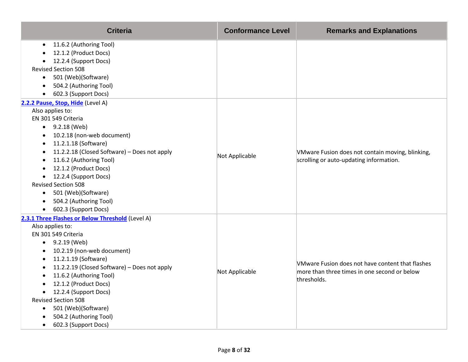| <b>Criteria</b>                                                                                   | <b>Conformance Level</b> | <b>Remarks and Explanations</b>                                                             |
|---------------------------------------------------------------------------------------------------|--------------------------|---------------------------------------------------------------------------------------------|
| 11.6.2 (Authoring Tool)<br>$\bullet$                                                              |                          |                                                                                             |
| 12.1.2 (Product Docs)<br>$\bullet$                                                                |                          |                                                                                             |
| 12.2.4 (Support Docs)<br>$\bullet$<br><b>Revised Section 508</b>                                  |                          |                                                                                             |
|                                                                                                   |                          |                                                                                             |
| 501 (Web)(Software)<br>$\bullet$                                                                  |                          |                                                                                             |
| 504.2 (Authoring Tool)<br>$\bullet$                                                               |                          |                                                                                             |
| 602.3 (Support Docs)<br>$\bullet$                                                                 |                          |                                                                                             |
| 2.2.2 Pause, Stop, Hide (Level A)                                                                 |                          |                                                                                             |
| Also applies to:<br>EN 301 549 Criteria                                                           |                          |                                                                                             |
| $-9.2.18$ (Web)                                                                                   |                          |                                                                                             |
|                                                                                                   |                          |                                                                                             |
| 10.2.18 (non-web document)<br>٠                                                                   |                          |                                                                                             |
| 11.2.1.18 (Software)<br>٠                                                                         | Not Applicable           | VMware Fusion does not contain moving, blinking,<br>scrolling or auto-updating information. |
| 11.2.2.18 (Closed Software) - Does not apply<br>$\bullet$<br>11.6.2 (Authoring Tool)<br>$\bullet$ |                          |                                                                                             |
| 12.1.2 (Product Docs)                                                                             |                          |                                                                                             |
| 12.2.4 (Support Docs)<br>$\bullet$                                                                |                          |                                                                                             |
| <b>Revised Section 508</b>                                                                        |                          |                                                                                             |
| 501 (Web)(Software)<br>$\bullet$                                                                  |                          |                                                                                             |
| 504.2 (Authoring Tool)<br>$\bullet$                                                               |                          |                                                                                             |
| 602.3 (Support Docs)<br>$\bullet$                                                                 |                          |                                                                                             |
| 2.3.1 Three Flashes or Below Threshold (Level A)                                                  |                          |                                                                                             |
| Also applies to:                                                                                  |                          |                                                                                             |
| EN 301 549 Criteria                                                                               |                          |                                                                                             |
| $\bullet$ 9.2.19 (Web)                                                                            |                          |                                                                                             |
| 10.2.19 (non-web document)<br>$\bullet$                                                           |                          |                                                                                             |
| 11.2.1.19 (Software)                                                                              |                          |                                                                                             |
| 11.2.2.19 (Closed Software) - Does not apply                                                      |                          | VMware Fusion does not have content that flashes                                            |
| 11.6.2 (Authoring Tool)                                                                           | Not Applicable           | more than three times in one second or below<br>thresholds.                                 |
| 12.1.2 (Product Docs)                                                                             |                          |                                                                                             |
| 12.2.4 (Support Docs)<br>$\bullet$                                                                |                          |                                                                                             |
| <b>Revised Section 508</b>                                                                        |                          |                                                                                             |
| 501 (Web)(Software)<br>$\bullet$                                                                  |                          |                                                                                             |
| 504.2 (Authoring Tool)                                                                            |                          |                                                                                             |
| 602.3 (Support Docs)<br>$\bullet$                                                                 |                          |                                                                                             |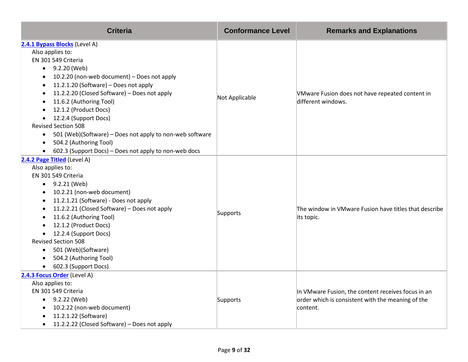| <b>Criteria</b>                                                       | <b>Conformance Level</b> | <b>Remarks and Explanations</b>                       |
|-----------------------------------------------------------------------|--------------------------|-------------------------------------------------------|
| 2.4.1 Bypass Blocks (Level A)                                         |                          |                                                       |
| Also applies to:                                                      |                          |                                                       |
| EN 301 549 Criteria                                                   |                          |                                                       |
| $-9.2.20$ (Web)                                                       |                          |                                                       |
| 10.2.20 (non-web document) - Does not apply<br>$\bullet$              |                          |                                                       |
| 11.2.1.20 (Software) - Does not apply<br>$\bullet$                    |                          |                                                       |
| 11.2.2.20 (Closed Software) - Does not apply<br>$\bullet$             | Not Applicable           | VMware Fusion does not have repeated content in       |
| 11.6.2 (Authoring Tool)<br>$\bullet$                                  |                          | different windows.                                    |
| 12.1.2 (Product Docs)<br>$\bullet$                                    |                          |                                                       |
| 12.2.4 (Support Docs)<br>$\bullet$                                    |                          |                                                       |
| <b>Revised Section 508</b>                                            |                          |                                                       |
| 501 (Web)(Software) – Does not apply to non-web software<br>$\bullet$ |                          |                                                       |
| 504.2 (Authoring Tool)<br>$\bullet$                                   |                          |                                                       |
| 602.3 (Support Docs) - Does not apply to non-web docs<br>$\bullet$    |                          |                                                       |
| 2.4.2 Page Titled (Level A)                                           |                          |                                                       |
| Also applies to:                                                      |                          |                                                       |
| EN 301 549 Criteria                                                   |                          |                                                       |
| 9.2.21 (Web)<br>$\bullet$                                             |                          |                                                       |
| 10.2.21 (non-web document)<br>$\bullet$                               |                          |                                                       |
| 11.2.1.21 (Software) - Does not apply<br>$\bullet$                    |                          |                                                       |
| 11.2.2.21 (Closed Software) - Does not apply<br>$\bullet$             | Supports                 | The window in VMware Fusion have titles that describe |
| 11.6.2 (Authoring Tool)<br>$\bullet$                                  |                          | its topic.                                            |
| 12.1.2 (Product Docs)<br>$\bullet$                                    |                          |                                                       |
| 12.2.4 (Support Docs)                                                 |                          |                                                       |
| <b>Revised Section 508</b>                                            |                          |                                                       |
| 501 (Web)(Software)<br>$\bullet$                                      |                          |                                                       |
| 504.2 (Authoring Tool)<br>$\bullet$                                   |                          |                                                       |
| 602.3 (Support Docs)<br>$\bullet$                                     |                          |                                                       |
| 2.4.3 Focus Order (Level A)                                           |                          |                                                       |
| Also applies to:                                                      |                          |                                                       |
| EN 301 549 Criteria                                                   |                          | In VMware Fusion, the content receives focus in an    |
| $\bullet$ 9.2.22 (Web)                                                | Supports                 | order which is consistent with the meaning of the     |
| 10.2.22 (non-web document)<br>$\bullet$                               |                          | content.                                              |
| 11.2.1.22 (Software)<br>٠                                             |                          |                                                       |
| 11.2.2.22 (Closed Software) - Does not apply<br>$\bullet$             |                          |                                                       |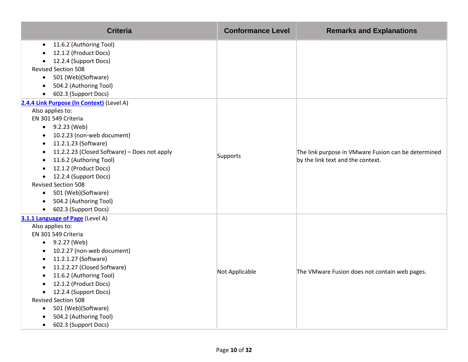| <b>Criteria</b>                                                                                                                                                                                                                                                                                                                                                                                                                                                                                                        | <b>Conformance Level</b> | <b>Remarks and Explanations</b>                                                          |
|------------------------------------------------------------------------------------------------------------------------------------------------------------------------------------------------------------------------------------------------------------------------------------------------------------------------------------------------------------------------------------------------------------------------------------------------------------------------------------------------------------------------|--------------------------|------------------------------------------------------------------------------------------|
| 11.6.2 (Authoring Tool)<br>$\bullet$<br>12.1.2 (Product Docs)<br>12.2.4 (Support Docs)<br><b>Revised Section 508</b><br>501 (Web)(Software)<br>$\bullet$<br>504.2 (Authoring Tool)<br>$\bullet$                                                                                                                                                                                                                                                                                                                        |                          |                                                                                          |
| 602.3 (Support Docs)<br>$\bullet$                                                                                                                                                                                                                                                                                                                                                                                                                                                                                      |                          |                                                                                          |
| 2.4.4 Link Purpose (In Context) (Level A)<br>Also applies to:<br>EN 301 549 Criteria<br>$-9.2.23$ (Web)<br>10.2.23 (non-web document)<br>$\bullet$<br>11.2.1.23 (Software)<br>$\bullet$<br>11.2.2.23 (Closed Software) - Does not apply<br>$\bullet$<br>11.6.2 (Authoring Tool)<br>$\bullet$<br>12.1.2 (Product Docs)<br>$\bullet$<br>12.2.4 (Support Docs)<br>$\bullet$<br><b>Revised Section 508</b><br>501 (Web)(Software)<br>$\bullet$<br>504.2 (Authoring Tool)<br>$\bullet$<br>602.3 (Support Docs)<br>$\bullet$ | Supports                 | The link purpose in VMware Fusion can be determined<br>by the link text and the context. |
| 3.1.1 Language of Page (Level A)<br>Also applies to:<br>EN 301 549 Criteria<br>$-9.2.27$ (Web)<br>10.2.27 (non-web document)<br>$\bullet$<br>11.2.1.27 (Software)<br>$\bullet$<br>11.2.2.27 (Closed Software)<br>$\bullet$<br>11.6.2 (Authoring Tool)<br>$\bullet$<br>12.1.2 (Product Docs)<br>$\bullet$<br>12.2.4 (Support Docs)<br>$\bullet$<br><b>Revised Section 508</b><br>501 (Web)(Software)<br>$\bullet$<br>504.2 (Authoring Tool)<br>602.3 (Support Docs)<br>$\bullet$                                        | Not Applicable           | The VMware Fusion does not contain web pages.                                            |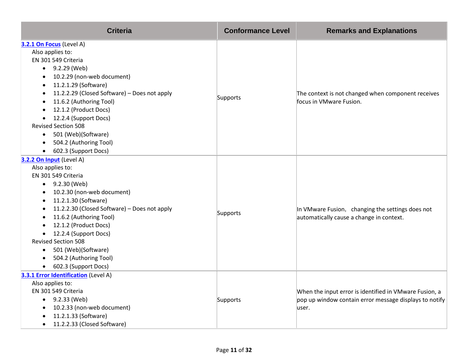| <b>Criteria</b>                                           | <b>Conformance Level</b> | <b>Remarks and Explanations</b>                        |
|-----------------------------------------------------------|--------------------------|--------------------------------------------------------|
| 3.2.1 On Focus (Level A)                                  |                          |                                                        |
| Also applies to:                                          |                          |                                                        |
| EN 301 549 Criteria                                       |                          |                                                        |
| $\bullet$ 9.2.29 (Web)                                    |                          |                                                        |
| 10.2.29 (non-web document)<br>$\bullet$                   |                          |                                                        |
| 11.2.1.29 (Software)<br>$\bullet$                         |                          |                                                        |
| 11.2.2.29 (Closed Software) - Does not apply<br>$\bullet$ |                          | The context is not changed when component receives     |
| 11.6.2 (Authoring Tool)                                   | Supports                 | focus in VMware Fusion.                                |
| 12.1.2 (Product Docs)                                     |                          |                                                        |
| 12.2.4 (Support Docs)                                     |                          |                                                        |
| <b>Revised Section 508</b>                                |                          |                                                        |
| 501 (Web)(Software)<br>$\bullet$                          |                          |                                                        |
| 504.2 (Authoring Tool)                                    |                          |                                                        |
| 602.3 (Support Docs)<br>$\bullet$                         |                          |                                                        |
| 3.2.2 On Input (Level A)                                  |                          |                                                        |
| Also applies to:                                          |                          |                                                        |
| EN 301 549 Criteria                                       |                          |                                                        |
| 9.2.30 (Web)<br>$\bullet$                                 |                          |                                                        |
| 10.2.30 (non-web document)<br>$\bullet$                   |                          |                                                        |
| 11.2.1.30 (Software)<br>$\bullet$                         |                          |                                                        |
| 11.2.2.30 (Closed Software) - Does not apply<br>$\bullet$ | Supports                 | In VMware Fusion, changing the settings does not       |
| 11.6.2 (Authoring Tool)<br>$\bullet$                      |                          | automatically cause a change in context.               |
| 12.1.2 (Product Docs)<br>$\bullet$                        |                          |                                                        |
| 12.2.4 (Support Docs)<br>$\bullet$                        |                          |                                                        |
| <b>Revised Section 508</b>                                |                          |                                                        |
| 501 (Web)(Software)<br>$\bullet$                          |                          |                                                        |
| 504.2 (Authoring Tool)<br>$\bullet$                       |                          |                                                        |
| 602.3 (Support Docs)<br>$\bullet$                         |                          |                                                        |
| 3.3.1 Error Identification (Level A)                      |                          |                                                        |
| Also applies to:                                          |                          |                                                        |
| EN 301 549 Criteria                                       |                          | When the input error is identified in VMware Fusion, a |
| $\bullet$ 9.2.33 (Web)                                    | Supports                 | pop up window contain error message displays to notify |
| 10.2.33 (non-web document)                                |                          | user.                                                  |
| 11.2.1.33 (Software)                                      |                          |                                                        |
| 11.2.2.33 (Closed Software)                               |                          |                                                        |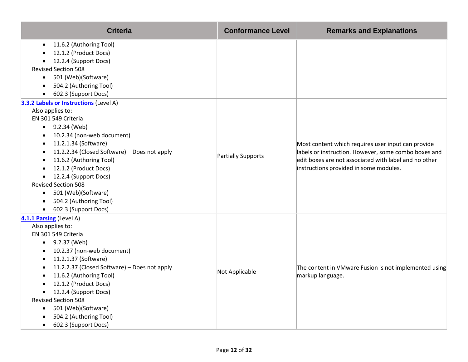| <b>Criteria</b>                                                                                                                                                                                                                                                                                                                                                                                                                                                | <b>Conformance Level</b> | <b>Remarks and Explanations</b>                                                                                                                                                                               |
|----------------------------------------------------------------------------------------------------------------------------------------------------------------------------------------------------------------------------------------------------------------------------------------------------------------------------------------------------------------------------------------------------------------------------------------------------------------|--------------------------|---------------------------------------------------------------------------------------------------------------------------------------------------------------------------------------------------------------|
| 11.6.2 (Authoring Tool)<br>12.1.2 (Product Docs)<br>12.2.4 (Support Docs)<br><b>Revised Section 508</b><br>501 (Web)(Software)<br>$\bullet$<br>504.2 (Authoring Tool)                                                                                                                                                                                                                                                                                          |                          |                                                                                                                                                                                                               |
| 602.3 (Support Docs)<br>$\bullet$                                                                                                                                                                                                                                                                                                                                                                                                                              |                          |                                                                                                                                                                                                               |
| 3.3.2 Labels or Instructions (Level A)<br>Also applies to:<br>EN 301 549 Criteria<br>$\bullet$ 9.2.34 (Web)<br>10.2.34 (non-web document)<br>٠<br>11.2.1.34 (Software)<br>$\bullet$<br>11.2.2.34 (Closed Software) - Does not apply<br>11.6.2 (Authoring Tool)<br>12.1.2 (Product Docs)<br>12.2.4 (Support Docs)<br>$\bullet$<br><b>Revised Section 508</b><br>501 (Web)(Software)<br>$\bullet$<br>504.2 (Authoring Tool)<br>602.3 (Support Docs)<br>$\bullet$ | Partially Supports       | Most content which requires user input can provide<br>labels or instruction. However, some combo boxes and<br>edit boxes are not associated with label and no other<br>instructions provided in some modules. |
| 4.1.1 Parsing (Level A)<br>Also applies to:<br>EN 301 549 Criteria<br>$-9.2.37$ (Web)<br>10.2.37 (non-web document)<br>$\bullet$<br>11.2.1.37 (Software)<br>$\bullet$<br>11.2.2.37 (Closed Software) - Does not apply<br>$\bullet$<br>11.6.2 (Authoring Tool)<br>12.1.2 (Product Docs)<br>12.2.4 (Support Docs)<br>$\bullet$<br><b>Revised Section 508</b><br>501 (Web)(Software)<br>$\bullet$<br>504.2 (Authoring Tool)<br>602.3 (Support Docs)<br>$\bullet$  | Not Applicable           | The content in VMware Fusion is not implemented using<br>markup language.                                                                                                                                     |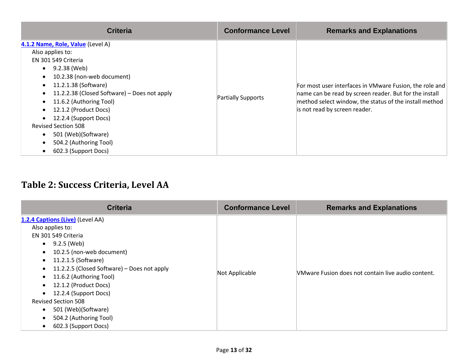| <b>Criteria</b>                                                                                                                                                                                                                                                                                                                                                                                  | <b>Conformance Level</b> | <b>Remarks and Explanations</b>                                                                                                                                                                              |
|--------------------------------------------------------------------------------------------------------------------------------------------------------------------------------------------------------------------------------------------------------------------------------------------------------------------------------------------------------------------------------------------------|--------------------------|--------------------------------------------------------------------------------------------------------------------------------------------------------------------------------------------------------------|
| 4.1.2 Name, Role, Value (Level A)<br>Also applies to:<br>EN 301 549 Criteria<br>$\bullet$ 9.2.38 (Web)<br>10.2.38 (non-web document)<br>11.2.1.38 (Software)<br>11.2.2.38 (Closed Software) – Does not apply<br>11.6.2 (Authoring Tool)<br>12.1.2 (Product Docs)<br>12.2.4 (Support Docs)<br><b>Revised Section 508</b><br>501 (Web)(Software)<br>504.2 (Authoring Tool)<br>602.3 (Support Docs) | Partially Supports       | For most user interfaces in VMware Fusion, the role and<br>name can be read by screen reader. But for the install<br>method select window, the status of the install method<br>is not read by screen reader. |

### **Table 2: Success Criteria, Level AA**

| <b>Criteria</b>                                                                                                                                                                                                                                                                                                                                                                                                                                        | <b>Conformance Level</b> | <b>Remarks and Explanations</b>                           |
|--------------------------------------------------------------------------------------------------------------------------------------------------------------------------------------------------------------------------------------------------------------------------------------------------------------------------------------------------------------------------------------------------------------------------------------------------------|--------------------------|-----------------------------------------------------------|
| 1.2.4 Captions (Live) (Level AA)<br>Also applies to:<br>EN 301 549 Criteria<br>• $9.2.5$ (Web)<br>10.2.5 (non-web document)<br>11.2.1.5 (Software)<br>$\bullet$<br>11.2.2.5 (Closed Software) – Does not apply<br>$\bullet$<br>11.6.2 (Authoring Tool)<br>$\bullet$<br>12.1.2 (Product Docs)<br>$\bullet$<br>12.2.4 (Support Docs)<br><b>Revised Section 508</b><br>501 (Web)(Software)<br>504.2 (Authoring Tool)<br>602.3 (Support Docs)<br>$\bullet$ | Not Applicable           | <b>NMware Fusion does not contain live audio content.</b> |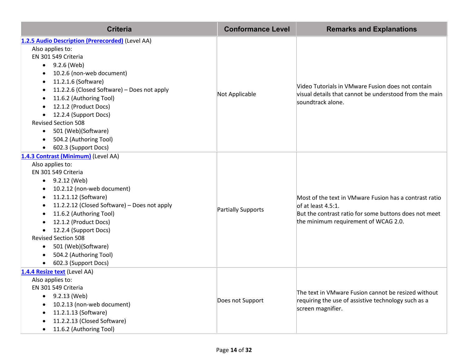| <b>Criteria</b>                                           | <b>Conformance Level</b> | <b>Remarks and Explanations</b>                                                                                                       |
|-----------------------------------------------------------|--------------------------|---------------------------------------------------------------------------------------------------------------------------------------|
| 1.2.5 Audio Description (Prerecorded) (Level AA)          |                          |                                                                                                                                       |
| Also applies to:                                          |                          |                                                                                                                                       |
| EN 301 549 Criteria                                       |                          | Video Tutorials in VMware Fusion does not contain<br>visual details that cannot be understood from the main                           |
| 9.2.6 (Web)<br>$\bullet$                                  |                          |                                                                                                                                       |
| 10.2.6 (non-web document)                                 |                          |                                                                                                                                       |
| 11.2.1.6 (Software)<br>$\bullet$                          |                          |                                                                                                                                       |
| 11.2.2.6 (Closed Software) - Does not apply<br>$\bullet$  | Not Applicable           |                                                                                                                                       |
| 11.6.2 (Authoring Tool)<br>$\bullet$                      |                          | soundtrack alone.                                                                                                                     |
| 12.1.2 (Product Docs)                                     |                          |                                                                                                                                       |
| 12.2.4 (Support Docs)                                     |                          |                                                                                                                                       |
| <b>Revised Section 508</b>                                |                          |                                                                                                                                       |
| 501 (Web)(Software)<br>$\bullet$                          |                          |                                                                                                                                       |
| 504.2 (Authoring Tool)<br>$\bullet$                       |                          |                                                                                                                                       |
| 602.3 (Support Docs)<br>$\bullet$                         |                          |                                                                                                                                       |
| 1.4.3 Contrast (Minimum) (Level AA)                       |                          |                                                                                                                                       |
| Also applies to:                                          |                          | Most of the text in VMware Fusion has a contrast ratio<br>of at least 4.5:1.<br>But the contrast ratio for some buttons does not meet |
| EN 301 549 Criteria                                       |                          |                                                                                                                                       |
| 9.2.12 (Web)<br>$\bullet$                                 | Partially Supports       |                                                                                                                                       |
| 10.2.12 (non-web document)<br>$\bullet$                   |                          |                                                                                                                                       |
| 11.2.1.12 (Software)<br>$\bullet$                         |                          |                                                                                                                                       |
| 11.2.2.12 (Closed Software) - Does not apply<br>$\bullet$ |                          |                                                                                                                                       |
| 11.6.2 (Authoring Tool)                                   |                          |                                                                                                                                       |
| 12.1.2 (Product Docs)<br>$\bullet$                        |                          | the minimum requirement of WCAG 2.0.                                                                                                  |
| 12.2.4 (Support Docs)                                     |                          |                                                                                                                                       |
| <b>Revised Section 508</b>                                |                          |                                                                                                                                       |
| 501 (Web)(Software)<br>$\bullet$                          |                          |                                                                                                                                       |
| 504.2 (Authoring Tool)<br>$\bullet$                       |                          |                                                                                                                                       |
| 602.3 (Support Docs)                                      |                          |                                                                                                                                       |
| 1.4.4 Resize text (Level AA)                              |                          |                                                                                                                                       |
| Also applies to:                                          |                          |                                                                                                                                       |
| EN 301 549 Criteria                                       |                          | The text in VMware Fusion cannot be resized without                                                                                   |
| 9.2.13 (Web)<br>$\bullet$                                 | Does not Support         | requiring the use of assistive technology such as a<br>screen magnifier.                                                              |
| 10.2.13 (non-web document)<br>$\bullet$                   |                          |                                                                                                                                       |
| 11.2.1.13 (Software)<br>$\bullet$                         |                          |                                                                                                                                       |
| 11.2.2.13 (Closed Software)<br>$\bullet$                  |                          |                                                                                                                                       |
| 11.6.2 (Authoring Tool)                                   |                          |                                                                                                                                       |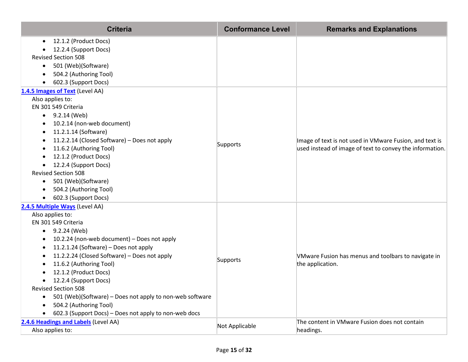| <b>Criteria</b>                                                                                                                                                                                                                                                                                                                                                                                                                                                                                                            | <b>Conformance Level</b> | <b>Remarks and Explanations</b>                                                                                     |
|----------------------------------------------------------------------------------------------------------------------------------------------------------------------------------------------------------------------------------------------------------------------------------------------------------------------------------------------------------------------------------------------------------------------------------------------------------------------------------------------------------------------------|--------------------------|---------------------------------------------------------------------------------------------------------------------|
| 12.1.2 (Product Docs)<br>$\bullet$<br>12.2.4 (Support Docs)<br><b>Revised Section 508</b><br>501 (Web)(Software)<br>$\bullet$<br>504.2 (Authoring Tool)<br>602.3 (Support Docs)                                                                                                                                                                                                                                                                                                                                            |                          |                                                                                                                     |
| 1.4.5 Images of Text (Level AA)                                                                                                                                                                                                                                                                                                                                                                                                                                                                                            |                          |                                                                                                                     |
| Also applies to:<br>EN 301 549 Criteria<br>9.2.14 (Web)<br>$\bullet$<br>10.2.14 (non-web document)<br>11.2.1.14 (Software)<br>11.2.2.14 (Closed Software) - Does not apply<br>$\bullet$<br>11.6.2 (Authoring Tool)<br>12.1.2 (Product Docs)<br>12.2.4 (Support Docs)<br>$\bullet$<br><b>Revised Section 508</b><br>501 (Web)(Software)<br>$\bullet$<br>504.2 (Authoring Tool)<br>602.3 (Support Docs)                                                                                                                      | Supports                 | Image of text is not used in VMware Fusion, and text is<br>used instead of image of text to convey the information. |
| 2.4.5 Multiple Ways (Level AA)<br>Also applies to:<br>EN 301 549 Criteria<br>9.2.24 (Web)<br>$\bullet$<br>10.2.24 (non-web document) - Does not apply<br>11.2.1.24 (Software) - Does not apply<br>$\bullet$<br>11.2.2.24 (Closed Software) - Does not apply<br>11.6.2 (Authoring Tool)<br>12.1.2 (Product Docs)<br>12.2.4 (Support Docs)<br>٠<br><b>Revised Section 508</b><br>501 (Web)(Software) - Does not apply to non-web software<br>504.2 (Authoring Tool)<br>602.3 (Support Docs) - Does not apply to non-web docs | Supports                 | VMware Fusion has menus and toolbars to navigate in<br>the application.                                             |
| 2.4.6 Headings and Labels (Level AA)<br>Also applies to:                                                                                                                                                                                                                                                                                                                                                                                                                                                                   | Not Applicable           | The content in VMware Fusion does not contain<br>headings.                                                          |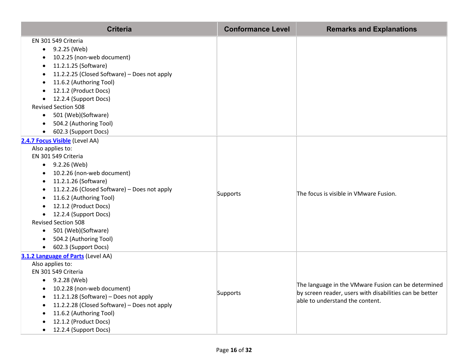| <b>Criteria</b>                                                                                                                                                                                                                                                                                                                                                                                                                            | <b>Conformance Level</b> | <b>Remarks and Explanations</b>                                                                                                                   |
|--------------------------------------------------------------------------------------------------------------------------------------------------------------------------------------------------------------------------------------------------------------------------------------------------------------------------------------------------------------------------------------------------------------------------------------------|--------------------------|---------------------------------------------------------------------------------------------------------------------------------------------------|
| EN 301 549 Criteria<br>• $9.2.25$ (Web)<br>10.2.25 (non-web document)<br>11.2.1.25 (Software)<br>11.2.2.25 (Closed Software) - Does not apply<br>11.6.2 (Authoring Tool)<br>12.1.2 (Product Docs)<br>12.2.4 (Support Docs)<br><b>Revised Section 508</b><br>501 (Web)(Software)<br>$\bullet$<br>504.2 (Authoring Tool)                                                                                                                     |                          |                                                                                                                                                   |
| 602.3 (Support Docs)<br>2.4.7 Focus Visible (Level AA)<br>Also applies to:<br>EN 301 549 Criteria<br>9.2.26 (Web)<br>$\bullet$<br>10.2.26 (non-web document)<br>11.2.1.26 (Software)<br>11.2.2.26 (Closed Software) - Does not apply<br>11.6.2 (Authoring Tool)<br>12.1.2 (Product Docs)<br>12.2.4 (Support Docs)<br><b>Revised Section 508</b><br>501 (Web)(Software)<br>٠<br>504.2 (Authoring Tool)<br>602.3 (Support Docs)<br>$\bullet$ | Supports                 | The focus is visible in VMware Fusion.                                                                                                            |
| 3.1.2 Language of Parts (Level AA)<br>Also applies to:<br>EN 301 549 Criteria<br>$\bullet$ 9.2.28 (Web)<br>10.2.28 (non-web document)<br>11.2.1.28 (Software) - Does not apply<br>11.2.2.28 (Closed Software) - Does not apply<br>11.6.2 (Authoring Tool)<br>12.1.2 (Product Docs)<br>$\bullet$<br>12.2.4 (Support Docs)<br>$\bullet$                                                                                                      | Supports                 | The language in the VMware Fusion can be determined<br>by screen reader, users with disabilities can be better<br>able to understand the content. |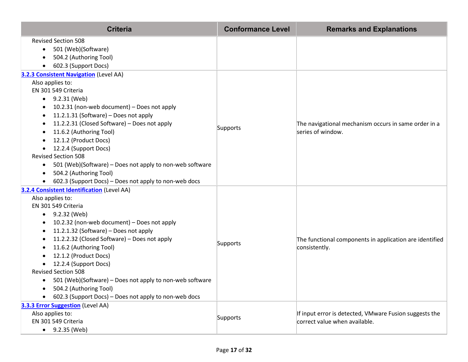| <b>Criteria</b>                                                       | <b>Conformance Level</b> | <b>Remarks and Explanations</b>                                          |
|-----------------------------------------------------------------------|--------------------------|--------------------------------------------------------------------------|
| <b>Revised Section 508</b>                                            |                          |                                                                          |
| 501 (Web)(Software)<br>$\bullet$                                      |                          |                                                                          |
| 504.2 (Authoring Tool)                                                |                          |                                                                          |
| 602.3 (Support Docs)                                                  |                          |                                                                          |
| <b>3.2.3 Consistent Navigation</b> (Level AA)                         |                          |                                                                          |
| Also applies to:                                                      |                          |                                                                          |
| EN 301 549 Criteria                                                   |                          |                                                                          |
| • $9.2.31$ (Web)                                                      |                          |                                                                          |
| 10.2.31 (non-web document) - Does not apply                           |                          |                                                                          |
| 11.2.1.31 (Software) - Does not apply<br>٠                            |                          |                                                                          |
| 11.2.2.31 (Closed Software) – Does not apply                          | Supports                 | The navigational mechanism occurs in same order in a                     |
| 11.6.2 (Authoring Tool)                                               |                          | series of window.                                                        |
| 12.1.2 (Product Docs)<br>٠                                            |                          |                                                                          |
| 12.2.4 (Support Docs)<br>$\bullet$<br><b>Revised Section 508</b>      |                          |                                                                          |
|                                                                       |                          |                                                                          |
| 501 (Web)(Software) - Does not apply to non-web software<br>$\bullet$ |                          |                                                                          |
| 504.2 (Authoring Tool)                                                |                          |                                                                          |
| 602.3 (Support Docs) - Does not apply to non-web docs                 |                          |                                                                          |
| <b>3.2.4 Consistent Identification (Level AA)</b><br>Also applies to: |                          |                                                                          |
| EN 301 549 Criteria                                                   |                          |                                                                          |
| 9.2.32 (Web)<br>$\bullet$                                             |                          | The functional components in application are identified<br>consistently. |
| 10.2.32 (non-web document) - Does not apply                           |                          |                                                                          |
| 11.2.1.32 (Software) – Does not apply<br>٠                            |                          |                                                                          |
| 11.2.2.32 (Closed Software) - Does not apply                          |                          |                                                                          |
| 11.6.2 (Authoring Tool)                                               | Supports                 |                                                                          |
| 12.1.2 (Product Docs)                                                 |                          |                                                                          |
| 12.2.4 (Support Docs)                                                 |                          |                                                                          |
| <b>Revised Section 508</b>                                            |                          |                                                                          |
| 501 (Web)(Software) – Does not apply to non-web software<br>٠         |                          |                                                                          |
| 504.2 (Authoring Tool)                                                |                          |                                                                          |
| 602.3 (Support Docs) - Does not apply to non-web docs                 |                          |                                                                          |
| 3.3.3 Error Suggestion (Level AA)                                     |                          |                                                                          |
| Also applies to:                                                      |                          | If input error is detected, VMware Fusion suggests the                   |
| EN 301 549 Criteria                                                   | Supports                 | correct value when available.                                            |
| $\bullet$ 9.2.35 (Web)                                                |                          |                                                                          |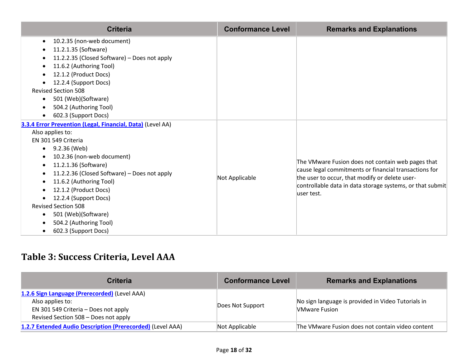| <b>Criteria</b>                                                                                                                                                                                                                                                                                                                                                                                                 | <b>Conformance Level</b> | <b>Remarks and Explanations</b>                                                                                                                                                                                                          |
|-----------------------------------------------------------------------------------------------------------------------------------------------------------------------------------------------------------------------------------------------------------------------------------------------------------------------------------------------------------------------------------------------------------------|--------------------------|------------------------------------------------------------------------------------------------------------------------------------------------------------------------------------------------------------------------------------------|
| 10.2.35 (non-web document)<br>$\bullet$<br>11.2.1.35 (Software)<br>11.2.2.35 (Closed Software) - Does not apply<br>11.6.2 (Authoring Tool)<br>12.1.2 (Product Docs)<br>12.2.4 (Support Docs)<br><b>Revised Section 508</b><br>501 (Web)(Software)<br>504.2 (Authoring Tool)<br>602.3 (Support Docs)                                                                                                             |                          |                                                                                                                                                                                                                                          |
| 3.3.4 Error Prevention (Legal, Financial, Data) (Level AA)<br>Also applies to:<br>EN 301 549 Criteria<br>9.2.36 (Web)<br>10.2.36 (non-web document)<br>11.2.1.36 (Software)<br>11.2.2.36 (Closed Software) - Does not apply<br>11.6.2 (Authoring Tool)<br>12.1.2 (Product Docs)<br>12.2.4 (Support Docs)<br><b>Revised Section 508</b><br>501 (Web)(Software)<br>504.2 (Authoring Tool)<br>602.3 (Support Docs) | Not Applicable           | The VMware Fusion does not contain web pages that<br>cause legal commitments or financial transactions for<br>the user to occur, that modify or delete user-<br>controllable data in data storage systems, or that submit<br>luser test. |

### **Table 3: Success Criteria, Level AAA**

| <b>Criteria</b>                                                                                                                                   | <b>Conformance Level</b> | <b>Remarks and Explanations</b>                                            |
|---------------------------------------------------------------------------------------------------------------------------------------------------|--------------------------|----------------------------------------------------------------------------|
| 1.2.6 Sign Language (Prerecorded) (Level AAA)<br>Also applies to:<br>EN 301 549 Criteria - Does not apply<br>Revised Section 508 - Does not apply | Does Not Support         | No sign language is provided in Video Tutorials in<br><b>NMware Fusion</b> |
| 1.2.7 Extended Audio Description (Prerecorded) (Level AAA)                                                                                        | Not Applicable           | The VMware Fusion does not contain video content                           |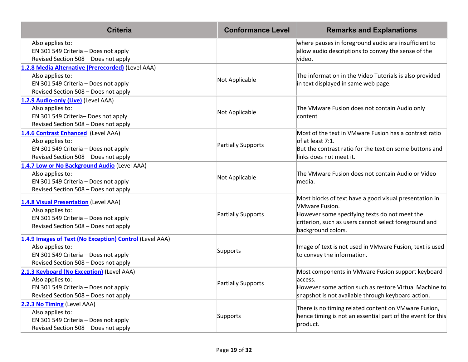| <b>Criteria</b>                                                                                                                                             | <b>Conformance Level</b> | <b>Remarks and Explanations</b>                                                                                                                                                                                 |
|-------------------------------------------------------------------------------------------------------------------------------------------------------------|--------------------------|-----------------------------------------------------------------------------------------------------------------------------------------------------------------------------------------------------------------|
| Also applies to:<br>EN 301 549 Criteria - Does not apply<br>Revised Section 508 - Does not apply                                                            |                          | where pauses in foreground audio are insufficient to<br>allow audio descriptions to convey the sense of the<br>video.                                                                                           |
| 1.2.8 Media Alternative (Prerecorded) (Level AAA)<br>Also applies to:<br>EN 301 549 Criteria - Does not apply<br>Revised Section 508 - Does not apply       | Not Applicable           | The information in the Video Tutorials is also provided<br>in text displayed in same web page.                                                                                                                  |
| 1.2.9 Audio-only (Live) (Level AAA)<br>Also applies to:<br>EN 301 549 Criteria- Does not apply<br>Revised Section 508 - Does not apply                      | Not Applicable           | The VMware Fusion does not contain Audio only<br>content                                                                                                                                                        |
| 1.4.6 Contrast Enhanced (Level AAA)<br>Also applies to:<br>EN 301 549 Criteria - Does not apply<br>Revised Section 508 - Does not apply                     | Partially Supports       | Most of the text in VMware Fusion has a contrast ratio<br>of at least 7:1.<br>But the contrast ratio for the text on some buttons and<br>links does not meet it.                                                |
| 1.4.7 Low or No Background Audio (Level AAA)<br>Also applies to:<br>EN 301 549 Criteria - Does not apply<br>Revised Section 508 - Does not apply            | Not Applicable           | The VMware Fusion does not contain Audio or Video<br>media.                                                                                                                                                     |
| 1.4.8 Visual Presentation (Level AAA)<br>Also applies to:<br>EN 301 549 Criteria - Does not apply<br>Revised Section 508 - Does not apply                   | Partially Supports       | Most blocks of text have a good visual presentation in<br><b>VMware Fusion.</b><br>However some specifying texts do not meet the<br>criterion, such as users cannot select foreground and<br>background colors. |
| 1.4.9 Images of Text (No Exception) Control (Level AAA)<br>Also applies to:<br>EN 301 549 Criteria - Does not apply<br>Revised Section 508 - Does not apply | Supports                 | Image of text is not used in VMware Fusion, text is used<br>to convey the information.                                                                                                                          |
| 2.1.3 Keyboard (No Exception) (Level AAA)<br>Also applies to:<br>EN 301 549 Criteria - Does not apply<br>Revised Section 508 - Does not apply               | Partially Supports       | Most components in VMware Fusion support keyboard<br>access.<br>However some action such as restore Virtual Machine to<br>snapshot is not available through keyboard action.                                    |
| 2.2.3 No Timing (Level AAA)<br>Also applies to:<br>EN 301 549 Criteria - Does not apply<br>Revised Section 508 - Does not apply                             | Supports                 | There is no timing related content on VMware Fusion,<br>hence timing is not an essential part of the event for this<br>product.                                                                                 |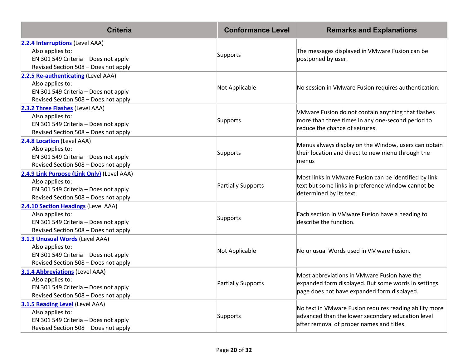| <b>Criteria</b>                                                                                                                                | <b>Conformance Level</b>  | <b>Remarks and Explanations</b>                                                                                                                          |
|------------------------------------------------------------------------------------------------------------------------------------------------|---------------------------|----------------------------------------------------------------------------------------------------------------------------------------------------------|
| 2.2.4 Interruptions (Level AAA)<br>Also applies to:<br>EN 301 549 Criteria - Does not apply<br>Revised Section 508 - Does not apply            | Supports                  | The messages displayed in VMware Fusion can be<br>postponed by user.                                                                                     |
| 2.2.5 Re-authenticating (Level AAA)<br>Also applies to:<br>EN 301 549 Criteria - Does not apply<br>Revised Section 508 - Does not apply        | Not Applicable            | No session in VMware Fusion requires authentication.                                                                                                     |
| 2.3.2 Three Flashes (Level AAA)<br>Also applies to:<br>EN 301 549 Criteria - Does not apply<br>Revised Section 508 - Does not apply            | Supports                  | VMware Fusion do not contain anything that flashes<br>more than three times in any one-second period to<br>reduce the chance of seizures.                |
| 2.4.8 Location (Level AAA)<br>Also applies to:<br>EN 301 549 Criteria - Does not apply<br>Revised Section 508 - Does not apply                 | Supports                  | Menus always display on the Window, users can obtain<br>their location and direct to new menu through the<br>menus                                       |
| 2.4.9 Link Purpose (Link Only) (Level AAA)<br>Also applies to:<br>EN 301 549 Criteria - Does not apply<br>Revised Section 508 - Does not apply | Partially Supports        | Most links in VMware Fusion can be identified by link<br>text but some links in preference window cannot be<br>determined by its text.                   |
| 2.4.10 Section Headings (Level AAA)<br>Also applies to:<br>EN 301 549 Criteria - Does not apply<br>Revised Section 508 - Does not apply        | Supports                  | Each section in VMware Fusion have a heading to<br>describe the function.                                                                                |
| 3.1.3 Unusual Words (Level AAA)<br>Also applies to:<br>EN 301 549 Criteria - Does not apply<br>Revised Section 508 - Does not apply            | Not Applicable            | No unusual Words used in VMware Fusion.                                                                                                                  |
| <b>3.1.4 Abbreviations (Level AAA)</b><br>Also applies to:<br>EN 301 549 Criteria - Does not apply<br>Revised Section 508 - Does not apply     | <b>Partially Supports</b> | Most abbreviations in VMware Fusion have the<br>expanded form displayed. But some words in settings<br>page does not have expanded form displayed.       |
| 3.1.5 Reading Level (Level AAA)<br>Also applies to:<br>EN 301 549 Criteria - Does not apply<br>Revised Section 508 - Does not apply            | Supports                  | No text in VMware Fusion requires reading ability more<br>advanced than the lower secondary education level<br>after removal of proper names and titles. |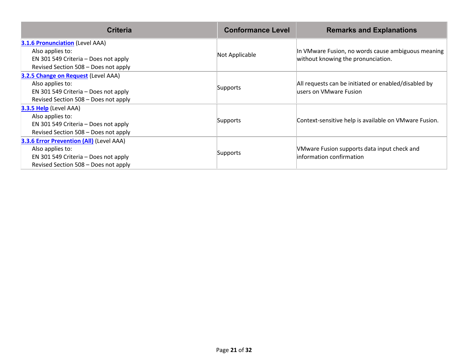| <b>Criteria</b>                                                                                                                              | <b>Conformance Level</b> | <b>Remarks and Explanations</b>                                                          |
|----------------------------------------------------------------------------------------------------------------------------------------------|--------------------------|------------------------------------------------------------------------------------------|
| <b>3.1.6 Pronunciation</b> (Level AAA)<br>Also applies to:<br>EN 301 549 Criteria – Does not apply<br>Revised Section 508 - Does not apply   | Not Applicable           | In VMware Fusion, no words cause ambiguous meaning<br>without knowing the pronunciation. |
| 3.2.5 Change on Request (Level AAA)<br>Also applies to:<br>EN 301 549 Criteria – Does not apply<br>Revised Section 508 - Does not apply      | Supports                 | All requests can be initiated or enabled/disabled by<br>lusers on VMware Fusion          |
| 3.3.5 Help (Level AAA)<br>Also applies to:<br>EN 301 549 Criteria – Does not apply<br>Revised Section 508 - Does not apply                   | Supports                 | Context-sensitive help is available on VMware Fusion.                                    |
| 3.3.6 Error Prevention (All) (Level AAA)<br>Also applies to:<br>EN 301 549 Criteria - Does not apply<br>Revised Section 508 - Does not apply | Supports                 | VMware Fusion supports data input check and<br>linformation confirmation                 |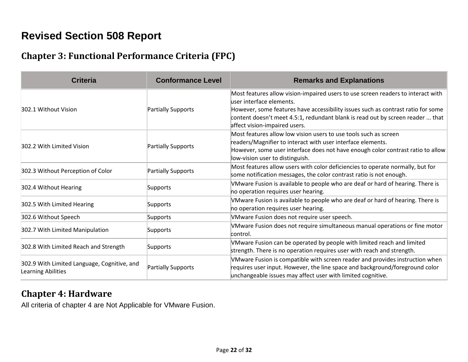### **Revised Section 508 Report**

### **Chapter 3: Functional Performance Criteria (FPC)**

| <b>Criteria</b>                                                          | <b>Conformance Level</b> | <b>Remarks and Explanations</b>                                                                                                                                                                                                                                                                                      |
|--------------------------------------------------------------------------|--------------------------|----------------------------------------------------------------------------------------------------------------------------------------------------------------------------------------------------------------------------------------------------------------------------------------------------------------------|
| 302.1 Without Vision                                                     | Partially Supports       | Most features allow vision-impaired users to use screen readers to interact with<br>luser interface elements.<br>However, some features have accessibility issues such as contrast ratio for some<br>content doesn't meet 4.5:1, redundant blank is read out by screen reader  that<br>affect vision-impaired users. |
| 302.2 With Limited Vision                                                | Partially Supports       | Most features allow low vision users to use tools such as screen<br>readers/Magnifier to interact with user interface elements.<br>However, some user interface does not have enough color contrast ratio to allow<br>low-vision user to distinguish.                                                                |
| 302.3 Without Perception of Color                                        | Partially Supports       | Most features allow users with color deficiencies to operate normally, but for<br>some notification messages, the color contrast ratio is not enough.                                                                                                                                                                |
| 302.4 Without Hearing                                                    | Supports                 | VMware Fusion is available to people who are deaf or hard of hearing. There is<br>no operation requires user hearing.                                                                                                                                                                                                |
| 302.5 With Limited Hearing                                               | Supports                 | VMware Fusion is available to people who are deaf or hard of hearing. There is<br>no operation requires user hearing.                                                                                                                                                                                                |
| 302.6 Without Speech                                                     | Supports                 | VMware Fusion does not require user speech.                                                                                                                                                                                                                                                                          |
| 302.7 With Limited Manipulation                                          | Supports                 | VMware Fusion does not require simultaneous manual operations or fine motor<br>control.                                                                                                                                                                                                                              |
| 302.8 With Limited Reach and Strength                                    | Supports                 | VMware Fusion can be operated by people with limited reach and limited<br>strength. There is no operation requires user with reach and strength.                                                                                                                                                                     |
| 302.9 With Limited Language, Cognitive, and<br><b>Learning Abilities</b> | Partially Supports       | VMware Fusion is compatible with screen reader and provides instruction when<br>requires user input. However, the line space and background/foreground color<br>unchangeable issues may affect user with limited cognitive.                                                                                          |

#### **Chapter 4: Hardware**

All criteria of chapter 4 are Not Applicable for VMware Fusion.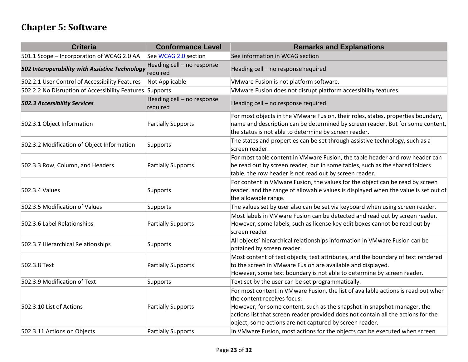### **Chapter 5: Software**

| <b>Criteria</b>                                          | <b>Conformance Level</b>               | <b>Remarks and Explanations</b>                                                                                                                                                                                                                                                                                                              |
|----------------------------------------------------------|----------------------------------------|----------------------------------------------------------------------------------------------------------------------------------------------------------------------------------------------------------------------------------------------------------------------------------------------------------------------------------------------|
| 501.1 Scope - Incorporation of WCAG 2.0 AA               | See WCAG 2.0 section                   | See information in WCAG section                                                                                                                                                                                                                                                                                                              |
| 502 Interoperability with Assistive Technology           | Heading cell - no response<br>required | Heading cell - no response required                                                                                                                                                                                                                                                                                                          |
| 502.2.1 User Control of Accessibility Features           | Not Applicable                         | VMware Fusion is not platform software.                                                                                                                                                                                                                                                                                                      |
| 502.2.2 No Disruption of Accessibility Features Supports |                                        | VMware Fusion does not disrupt platform accessibility features.                                                                                                                                                                                                                                                                              |
| <b>502.3 Accessibility Services</b>                      | Heading cell - no response<br>required | Heading cell - no response required                                                                                                                                                                                                                                                                                                          |
| 502.3.1 Object Information                               | Partially Supports                     | For most objects in the VMware Fusion, their roles, states, properties boundary,<br>name and description can be determined by screen reader. But for some content,<br>the status is not able to determine by screen reader.                                                                                                                  |
| 502.3.2 Modification of Object Information               | Supports                               | The states and properties can be set through assistive technology, such as a<br>screen reader.                                                                                                                                                                                                                                               |
| 502.3.3 Row, Column, and Headers                         | Partially Supports                     | For most table content in VMware Fusion, the table header and row header can<br>be read out by screen reader, but in some tables, such as the shared folders<br>table, the row header is not read out by screen reader.                                                                                                                      |
| 502.3.4 Values                                           | Supports                               | For content in VMware Fusion, the values for the object can be read by screen<br>reader, and the range of allowable values is displayed when the value is set out of<br>the allowable range.                                                                                                                                                 |
| 502.3.5 Modification of Values                           | Supports                               | The values set by user also can be set via keyboard when using screen reader.                                                                                                                                                                                                                                                                |
| 502.3.6 Label Relationships                              | Partially Supports                     | Most labels in VMware Fusion can be detected and read out by screen reader.<br>However, some labels, such as license key edit boxes cannot be read out by<br>screen reader.                                                                                                                                                                  |
| 502.3.7 Hierarchical Relationships                       | Supports                               | All objects' hierarchical relationships information in VMware Fusion can be<br>obtained by screen reader.                                                                                                                                                                                                                                    |
| 502.3.8 Text                                             | Partially Supports                     | Most content of text objects, text attributes, and the boundary of text rendered<br>to the screen in VMware Fusion are available and displayed.<br>However, some text boundary is not able to determine by screen reader.                                                                                                                    |
| 502.3.9 Modification of Text                             | Supports                               | Text set by the user can be set programmatically.                                                                                                                                                                                                                                                                                            |
| 502.3.10 List of Actions                                 | Partially Supports                     | For most content in VMware Fusion, the list of available actions is read out when<br>the content receives focus.<br>However, for some content, such as the snapshot in snapshot manager, the<br>actions list that screen reader provided does not contain all the actions for the<br>object, some actions are not captured by screen reader. |
| 502.3.11 Actions on Objects                              | Partially Supports                     | In VMware Fusion, most actions for the objects can be executed when screen                                                                                                                                                                                                                                                                   |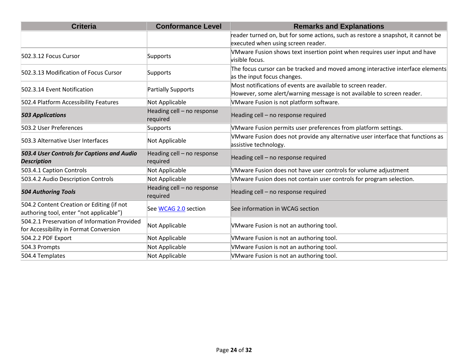| <b>Criteria</b>                                                                        | <b>Conformance Level</b>               | <b>Remarks and Explanations</b>                                                                                                        |
|----------------------------------------------------------------------------------------|----------------------------------------|----------------------------------------------------------------------------------------------------------------------------------------|
|                                                                                        |                                        | reader turned on, but for some actions, such as restore a snapshot, it cannot be<br>executed when using screen reader.                 |
| 502.3.12 Focus Cursor                                                                  | Supports                               | VMware Fusion shows text insertion point when requires user input and have<br>visible focus.                                           |
| 502.3.13 Modification of Focus Cursor                                                  | Supports                               | The focus cursor can be tracked and moved among interactive interface elements<br>as the input focus changes.                          |
| 502.3.14 Event Notification                                                            | Partially Supports                     | Most notifications of events are available to screen reader.<br>However, some alert/warning message is not available to screen reader. |
| 502.4 Platform Accessibility Features                                                  | Not Applicable                         | VMware Fusion is not platform software.                                                                                                |
| <b>503 Applications</b>                                                                | Heading cell - no response<br>required | Heading cell - no response required                                                                                                    |
| 503.2 User Preferences                                                                 | Supports                               | VMware Fusion permits user preferences from platform settings.                                                                         |
| 503.3 Alternative User Interfaces                                                      | Not Applicable                         | VMware Fusion does not provide any alternative user interface that functions as<br>assistive technology.                               |
| 503.4 User Controls for Captions and Audio<br><b>Description</b>                       | Heading cell - no response<br>required | Heading cell - no response required                                                                                                    |
| 503.4.1 Caption Controls                                                               | Not Applicable                         | VMware Fusion does not have user controls for volume adjustment                                                                        |
| 503.4.2 Audio Description Controls                                                     | Not Applicable                         | VMware Fusion does not contain user controls for program selection.                                                                    |
| <b>504 Authoring Tools</b>                                                             | Heading cell - no response<br>required | Heading cell - no response required                                                                                                    |
| 504.2 Content Creation or Editing (if not<br>authoring tool, enter "not applicable")   | See WCAG 2.0 section                   | See information in WCAG section                                                                                                        |
| 504.2.1 Preservation of Information Provided<br>for Accessibility in Format Conversion | Not Applicable                         | VMware Fusion is not an authoring tool.                                                                                                |
| 504.2.2 PDF Export                                                                     | Not Applicable                         | VMware Fusion is not an authoring tool.                                                                                                |
| 504.3 Prompts                                                                          | Not Applicable                         | VMware Fusion is not an authoring tool.                                                                                                |
| 504.4 Templates                                                                        | Not Applicable                         | VMware Fusion is not an authoring tool.                                                                                                |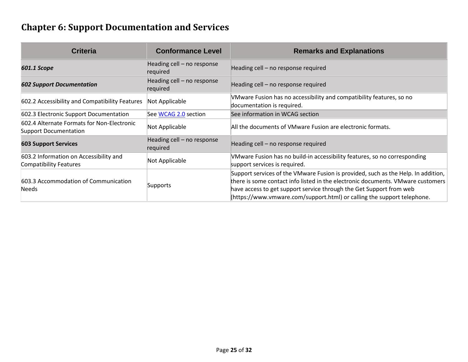### **Chapter 6: Support Documentation and Services**

| Criteria                                                                   | <b>Conformance Level</b>               | <b>Remarks and Explanations</b>                                                                                                                                                                                                                                                                                        |
|----------------------------------------------------------------------------|----------------------------------------|------------------------------------------------------------------------------------------------------------------------------------------------------------------------------------------------------------------------------------------------------------------------------------------------------------------------|
| 601.1 Scope                                                                | Heading cell - no response<br>required | Heading cell - no response required                                                                                                                                                                                                                                                                                    |
| <b>602 Support Documentation</b>                                           | Heading cell - no response<br>required | Heading cell - no response required                                                                                                                                                                                                                                                                                    |
| 602.2 Accessibility and Compatibility Features                             | Not Applicable                         | VMware Fusion has no accessibility and compatibility features, so no<br>documentation is required.                                                                                                                                                                                                                     |
| 602.3 Electronic Support Documentation                                     | See WCAG 2.0 section                   | See information in WCAG section                                                                                                                                                                                                                                                                                        |
| 602.4 Alternate Formats for Non-Electronic<br><b>Support Documentation</b> | Not Applicable                         | All the documents of VMware Fusion are electronic formats.                                                                                                                                                                                                                                                             |
| <b>603 Support Services</b>                                                | Heading cell - no response<br>required | Heading cell - no response required                                                                                                                                                                                                                                                                                    |
| 603.2 Information on Accessibility and<br><b>Compatibility Features</b>    | Not Applicable                         | VMware Fusion has no build-in accessibility features, so no corresponding<br>support services is required.                                                                                                                                                                                                             |
| 603.3 Accommodation of Communication<br><b>Needs</b>                       | Supports                               | Support services of the VMware Fusion is provided, such as the Help. In addition,<br>there is some contact info listed in the electronic documents. VMware customers<br>have access to get support service through the Get Support from web<br>(https://www.vmware.com/support.html) or calling the support telephone. |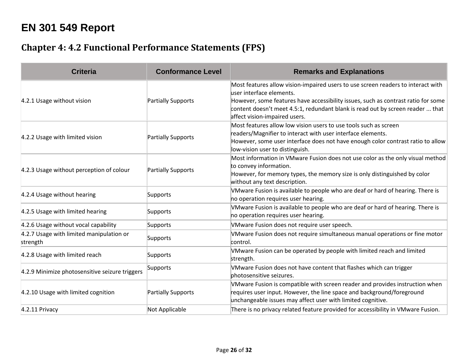### **EN 301 549 Report**

### **Chapter 4: 4.2 Functional Performance Statements (FPS)**

| <b>Criteria</b>                                      | <b>Conformance Level</b> | <b>Remarks and Explanations</b>                                                                                                                                                                                                                                                                                       |
|------------------------------------------------------|--------------------------|-----------------------------------------------------------------------------------------------------------------------------------------------------------------------------------------------------------------------------------------------------------------------------------------------------------------------|
| 4.2.1 Usage without vision                           | Partially Supports       | Most features allow vision-impaired users to use screen readers to interact with<br>luser interface elements.<br>However, some features have accessibility issues, such as contrast ratio for some<br>content doesn't meet 4.5:1, redundant blank is read out by screen reader  that<br>affect vision-impaired users. |
| 4.2.2 Usage with limited vision                      | Partially Supports       | Most features allow low vision users to use tools such as screen<br>readers/Magnifier to interact with user interface elements.<br>However, some user interface does not have enough color contrast ratio to allow<br>low-vision user to distinguish.                                                                 |
| 4.2.3 Usage without perception of colour             | Partially Supports       | Most information in VMware Fusion does not use color as the only visual method<br>to convey information.<br>However, for memory types, the memory size is only distinguished by color<br>without any text description.                                                                                                |
| 4.2.4 Usage without hearing                          | Supports                 | VMware Fusion is available to people who are deaf or hard of hearing. There is<br>no operation requires user hearing.                                                                                                                                                                                                 |
| 4.2.5 Usage with limited hearing                     | Supports                 | VMware Fusion is available to people who are deaf or hard of hearing. There is<br>no operation requires user hearing.                                                                                                                                                                                                 |
| 4.2.6 Usage without vocal capability                 | Supports                 | VMware Fusion does not require user speech.                                                                                                                                                                                                                                                                           |
| 4.2.7 Usage with limited manipulation or<br>strength | Supports                 | VMware Fusion does not require simultaneous manual operations or fine motor<br>control.                                                                                                                                                                                                                               |
| 4.2.8 Usage with limited reach                       | Supports                 | VMware Fusion can be operated by people with limited reach and limited<br>strength.                                                                                                                                                                                                                                   |
| 4.2.9 Minimize photosensitive seizure triggers       | Supports                 | VMware Fusion does not have content that flashes which can trigger<br>photosensitive seizures.                                                                                                                                                                                                                        |
| 4.2.10 Usage with limited cognition                  | Partially Supports       | VMware Fusion is compatible with screen reader and provides instruction when<br>requires user input. However, the line space and background/foreground<br>unchangeable issues may affect user with limited cognitive.                                                                                                 |
| 4.2.11 Privacy                                       | Not Applicable           | There is no privacy related feature provided for accessibility in VMware Fusion.                                                                                                                                                                                                                                      |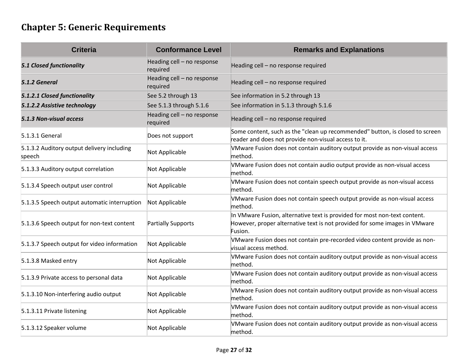## **Chapter 5: Generic Requirements**

| <b>Criteria</b>                                      | <b>Conformance Level</b>               | <b>Remarks and Explanations</b>                                                                                                                                    |
|------------------------------------------------------|----------------------------------------|--------------------------------------------------------------------------------------------------------------------------------------------------------------------|
| <b>5.1 Closed functionality</b>                      | Heading cell - no response<br>required | Heading cell - no response required                                                                                                                                |
| 5.1.2 General                                        | Heading cell - no response<br>required | Heading cell - no response required                                                                                                                                |
| 5.1.2.1 Closed functionality                         | See 5.2 through 13                     | See information in 5.2 through 13                                                                                                                                  |
| 5.1.2.2 Assistive technology                         | See 5.1.3 through 5.1.6                | See information in 5.1.3 through 5.1.6                                                                                                                             |
| 5.1.3 Non-visual access                              | Heading cell - no response<br>required | Heading cell - no response required                                                                                                                                |
| $5.1.3.1$ General                                    | Does not support                       | Some content, such as the "clean up recommended" button, is closed to screen<br>reader and does not provide non-visual access to it.                               |
| 5.1.3.2 Auditory output delivery including<br>speech | Not Applicable                         | VMware Fusion does not contain auditory output provide as non-visual access<br>method.                                                                             |
| 5.1.3.3 Auditory output correlation                  | Not Applicable                         | VMware Fusion does not contain audio output provide as non-visual access<br>method.                                                                                |
| 5.1.3.4 Speech output user control                   | Not Applicable                         | VMware Fusion does not contain speech output provide as non-visual access<br>method.                                                                               |
| 5.1.3.5 Speech output automatic interruption         | Not Applicable                         | VMware Fusion does not contain speech output provide as non-visual access<br>method.                                                                               |
| 5.1.3.6 Speech output for non-text content           | Partially Supports                     | In VMware Fusion, alternative text is provided for most non-text content.<br>However, proper alternative text is not provided for some images in VMware<br>Fusion. |
| 5.1.3.7 Speech output for video information          | Not Applicable                         | VMware Fusion does not contain pre-recorded video content provide as non-<br>visual access method.                                                                 |
| 5.1.3.8 Masked entry                                 | Not Applicable                         | VMware Fusion does not contain auditory output provide as non-visual access<br>method.                                                                             |
| 5.1.3.9 Private access to personal data              | Not Applicable                         | VMware Fusion does not contain auditory output provide as non-visual access<br>method.                                                                             |
| 5.1.3.10 Non-interfering audio output                | Not Applicable                         | VMware Fusion does not contain auditory output provide as non-visual access<br>method.                                                                             |
| 5.1.3.11 Private listening                           | Not Applicable                         | VMware Fusion does not contain auditory output provide as non-visual access<br>method.                                                                             |
| 5.1.3.12 Speaker volume                              | Not Applicable                         | VMware Fusion does not contain auditory output provide as non-visual access<br>method.                                                                             |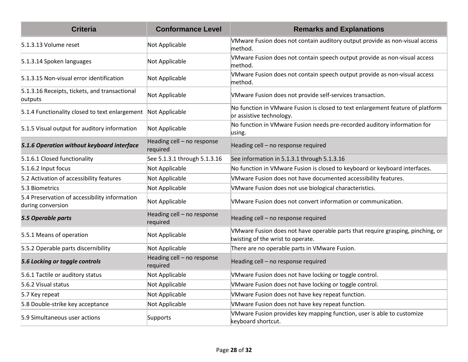| <b>Criteria</b>                                                    | <b>Conformance Level</b>               | <b>Remarks and Explanations</b>                                                                                     |
|--------------------------------------------------------------------|----------------------------------------|---------------------------------------------------------------------------------------------------------------------|
| 5.1.3.13 Volume reset                                              | Not Applicable                         | VMware Fusion does not contain auditory output provide as non-visual access<br>method.                              |
| 5.1.3.14 Spoken languages                                          | Not Applicable                         | VMware Fusion does not contain speech output provide as non-visual access<br>method.                                |
| 5.1.3.15 Non-visual error identification                           | Not Applicable                         | VMware Fusion does not contain speech output provide as non-visual access<br>method.                                |
| 5.1.3.16 Receipts, tickets, and transactional<br>outputs           | Not Applicable                         | VMware Fusion does not provide self-services transaction.                                                           |
| 5.1.4 Functionality closed to text enlargement Not Applicable      |                                        | No function in VMware Fusion is closed to text enlargement feature of platform<br>or assistive technology.          |
| 5.1.5 Visual output for auditory information                       | Not Applicable                         | No function in VMware Fusion needs pre-recorded auditory information for<br>using.                                  |
| 5.1.6 Operation without keyboard interface                         | Heading cell - no response<br>required | Heading cell - no response required                                                                                 |
| 5.1.6.1 Closed functionality                                       | See 5.1.3.1 through 5.1.3.16           | See information in 5.1.3.1 through 5.1.3.16                                                                         |
| $5.1.6.2$ Input focus                                              | Not Applicable                         | No function in VMware Fusion is closed to keyboard or keyboard interfaces.                                          |
| 5.2 Activation of accessibility features                           | Not Applicable                         | VMware Fusion does not have documented accessibility features.                                                      |
| 5.3 Biometrics                                                     | Not Applicable                         | VMware Fusion does not use biological characteristics.                                                              |
| 5.4 Preservation of accessibility information<br>during conversion | Not Applicable                         | VMware Fusion does not convert information or communication.                                                        |
| 5.5 Operable parts                                                 | Heading cell - no response<br>required | Heading cell - no response required                                                                                 |
| 5.5.1 Means of operation                                           | Not Applicable                         | VMware Fusion does not have operable parts that require grasping, pinching, or<br>twisting of the wrist to operate. |
| 5.5.2 Operable parts discernibility                                | Not Applicable                         | There are no operable parts in VMware Fusion.                                                                       |
| 5.6 Locking or toggle controls                                     | Heading cell - no response<br>required | Heading cell - no response required                                                                                 |
| 5.6.1 Tactile or auditory status                                   | Not Applicable                         | VMware Fusion does not have locking or toggle control.                                                              |
| 5.6.2 Visual status                                                | Not Applicable                         | VMware Fusion does not have locking or toggle control.                                                              |
| 5.7 Key repeat                                                     | Not Applicable                         | VMware Fusion does not have key repeat function.                                                                    |
| 5.8 Double-strike key acceptance                                   | Not Applicable                         | VMware Fusion does not have key repeat function.                                                                    |
| 5.9 Simultaneous user actions                                      | Supports                               | VMware Fusion provides key mapping function, user is able to customize<br>keyboard shortcut.                        |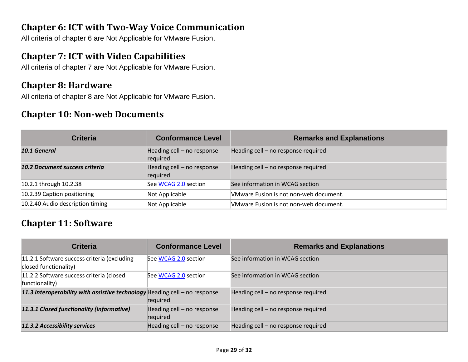#### **Chapter 6: ICT with Two-Way Voice Communication**

All criteria of chapter 6 are Not Applicable for VMware Fusion.

#### **Chapter 7: ICT with Video Capabilities**

All criteria of chapter 7 are Not Applicable for VMware Fusion.

#### **Chapter 8: Hardware**

All criteria of chapter 8 are Not Applicable for VMware Fusion.

#### **Chapter 10: Non-web Documents**

| <b>Criteria</b>                       | <b>Conformance Level</b>               | <b>Remarks and Explanations</b>        |
|---------------------------------------|----------------------------------------|----------------------------------------|
| 10.1 General                          | Heading cell - no response<br>required | Heading cell - no response required    |
| <b>10.2 Document success criteria</b> | Heading cell - no response<br>required | Heading cell - no response required    |
| 10.2.1 through 10.2.38                | See WCAG 2.0 section                   | See information in WCAG section        |
| 10.2.39 Caption positioning           | Not Applicable                         | VMware Fusion is not non-web document. |
| 10.2.40 Audio description timing      | Not Applicable                         | VMware Fusion is not non-web document. |

#### **Chapter 11: Software**

| <b>Criteria</b>                                                            | <b>Conformance Level</b>               | <b>Remarks and Explanations</b>     |
|----------------------------------------------------------------------------|----------------------------------------|-------------------------------------|
| 11.2.1 Software success criteria (excluding<br>closed functionality)       | See WCAG 2.0 section                   | See information in WCAG section     |
| 11.2.2 Software success criteria (closed<br>functionality)                 | See WCAG 2.0 section                   | See information in WCAG section     |
| 11.3 Interoperability with assistive technology Heading cell - no response | required                               | Heading cell - no response required |
| 11.3.1 Closed functionality (informative)                                  | Heading cell - no response<br>required | Heading cell - no response required |
| 11.3.2 Accessibility services                                              | Heading cell - no response             | Heading cell - no response required |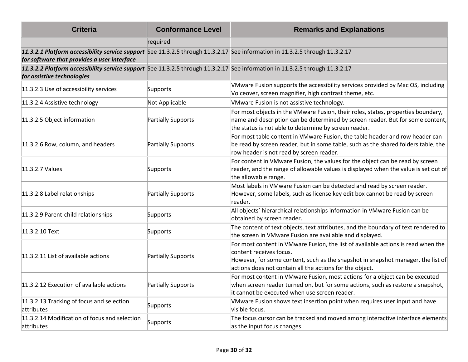| <b>Criteria</b>                                                                                                                                                             | <b>Conformance Level</b> | <b>Remarks and Explanations</b>                                                                                                                                                                                                                              |
|-----------------------------------------------------------------------------------------------------------------------------------------------------------------------------|--------------------------|--------------------------------------------------------------------------------------------------------------------------------------------------------------------------------------------------------------------------------------------------------------|
|                                                                                                                                                                             | required                 |                                                                                                                                                                                                                                                              |
| 11.3.2.1 Platform accessibility service support See 11.3.2.5 through 11.3.2.17 See information in 11.3.2.5 through 11.3.2.17<br>for software that provides a user interface |                          |                                                                                                                                                                                                                                                              |
| 11.3.2.2 Platform accessibility service support See 11.3.2.5 through 11.3.2.17 See information in 11.3.2.5 through 11.3.2.17<br>for assistive technologies                  |                          |                                                                                                                                                                                                                                                              |
| 11.3.2.3 Use of accessibility services                                                                                                                                      | Supports                 | VMware Fusion supports the accessibility services provided by Mac OS, including<br>Voiceover, screen magnifier, high contrast theme, etc.                                                                                                                    |
| 11.3.2.4 Assistive technology                                                                                                                                               | Not Applicable           | VMware Fusion is not assistive technology.                                                                                                                                                                                                                   |
| 11.3.2.5 Object information                                                                                                                                                 | Partially Supports       | For most objects in the VMware Fusion, their roles, states, properties boundary,<br>name and description can be determined by screen reader. But for some content,<br>the status is not able to determine by screen reader.                                  |
| 11.3.2.6 Row, column, and headers                                                                                                                                           | Partially Supports       | For most table content in VMware Fusion, the table header and row header can<br>be read by screen reader, but in some table, such as the shared folders table, the<br>row header is not read by screen reader.                                               |
| 11.3.2.7 Values                                                                                                                                                             | Supports                 | For content in VMware Fusion, the values for the object can be read by screen<br>reader, and the range of allowable values is displayed when the value is set out of<br>the allowable range.                                                                 |
| 11.3.2.8 Label relationships                                                                                                                                                | Partially Supports       | Most labels in VMware Fusion can be detected and read by screen reader.<br>However, some labels, such as license key edit box cannot be read by screen<br>reader.                                                                                            |
| 11.3.2.9 Parent-child relationships                                                                                                                                         | Supports                 | All objects' hierarchical relationships information in VMware Fusion can be<br>obtained by screen reader.                                                                                                                                                    |
| 11.3.2.10 Text                                                                                                                                                              | Supports                 | The content of text objects, text attributes, and the boundary of text rendered to<br>the screen in VMware Fusion are available and displayed.                                                                                                               |
| 11.3.2.11 List of available actions                                                                                                                                         | Partially Supports       | For most content in VMware Fusion, the list of available actions is read when the<br>content receives focus.<br>However, for some content, such as the snapshot in snapshot manager, the list of<br>actions does not contain all the actions for the object. |
| 11.3.2.12 Execution of available actions                                                                                                                                    | Partially Supports       | For most content in VMware Fusion, most actions for a object can be executed<br>when screen reader turned on, but for some actions, such as restore a snapshot,<br>it cannot be executed when use screen reader.                                             |
| 11.3.2.13 Tracking of focus and selection<br>attributes                                                                                                                     | Supports                 | VMware Fusion shows text insertion point when requires user input and have<br>visible focus.                                                                                                                                                                 |
| 11.3.2.14 Modification of focus and selection<br>attributes                                                                                                                 | Supports                 | The focus cursor can be tracked and moved among interactive interface elements<br>as the input focus changes.                                                                                                                                                |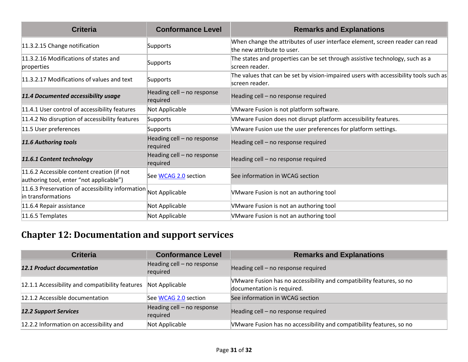| <b>Criteria</b>                                                                       | <b>Conformance Level</b>               | <b>Remarks and Explanations</b>                                                                            |
|---------------------------------------------------------------------------------------|----------------------------------------|------------------------------------------------------------------------------------------------------------|
| 11.3.2.15 Change notification                                                         | Supports                               | When change the attributes of user interface element, screen reader can read<br>the new attribute to user. |
| 11.3.2.16 Modifications of states and<br>properties                                   | Supports                               | The states and properties can be set through assistive technology, such as a<br>screen reader.             |
| 11.3.2.17 Modifications of values and text                                            | Supports                               | The values that can be set by vision-impaired users with accessibility tools such as<br>lscreen reader.    |
| 11.4 Documented accessibility usage                                                   | Heading cell - no response<br>required | Heading cell - no response required                                                                        |
| 11.4.1 User control of accessibility features                                         | Not Applicable                         | VMware Fusion is not platform software.                                                                    |
| 11.4.2 No disruption of accessibility features                                        | Supports                               | VMware Fusion does not disrupt platform accessibility features.                                            |
| 11.5 User preferences                                                                 | Supports                               | VMware Fusion use the user preferences for platform settings.                                              |
| 11.6 Authoring tools                                                                  | Heading cell - no response<br>required | Heading cell - no response required                                                                        |
| 11.6.1 Content technology                                                             | Heading cell - no response<br>required | Heading cell - no response required                                                                        |
| 11.6.2 Accessible content creation (if not<br>authoring tool, enter "not applicable") | See WCAG 2.0 section                   | See information in WCAG section                                                                            |
| 11.6.3 Preservation of accessibility information<br>in transformations                | Not Applicable                         | VMware Fusion is not an authoring tool                                                                     |
| 11.6.4 Repair assistance                                                              | Not Applicable                         | VMware Fusion is not an authoring tool                                                                     |
| 11.6.5 Templates                                                                      | Not Applicable                         | VMware Fusion is not an authoring tool                                                                     |

### **Chapter 12: Documentation and support services**

| <b>Criteria</b>                                 | <b>Conformance Level</b>               | <b>Remarks and Explanations</b>                                                                    |
|-------------------------------------------------|----------------------------------------|----------------------------------------------------------------------------------------------------|
| <b>12.1 Product documentation</b>               | Heading cell - no response<br>required | Heading cell - no response required                                                                |
| 12.1.1 Accessibility and compatibility features | Not Applicable                         | VMware Fusion has no accessibility and compatibility features, so no<br>documentation is required. |
| 12.1.2 Accessible documentation                 | See WCAG 2.0 section                   | See information in WCAG section                                                                    |
| <b>12.2 Support Services</b>                    | Heading cell - no response<br>required | Heading cell - no response required                                                                |
| 12.2.2 Information on accessibility and         | Not Applicable                         | VMware Fusion has no accessibility and compatibility features, so no                               |